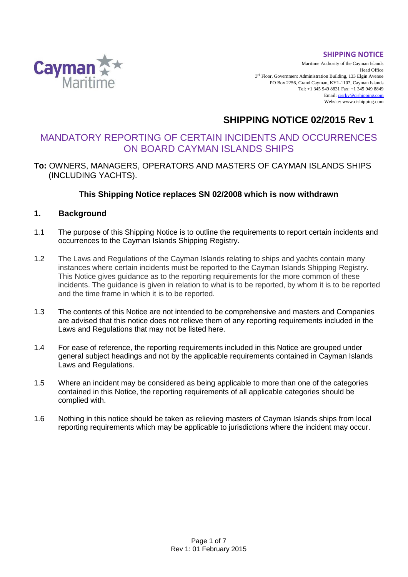#### **SHIPPING NOTICE**



Maritime Authority of the Cayman Islands Head Office 3<sup>rd</sup> Floor, Government Administration Building, 133 Elgin Avenue PO Box 2256, Grand Cayman, KY1-1107, Cayman Islands Tel: +1 345 949 8831 Fax: +1 345 949 8849 Email[: cisrky@cishipping.com](mailto:cisrky@cishipping.com) Website: www.cishipping.com

# **SHIPPING NOTICE 02/2015 Rev 1**

# MANDATORY REPORTING OF CERTAIN INCIDENTS AND OCCURRENCES ON BOARD CAYMAN ISLANDS SHIPS

# **To:** OWNERS, MANAGERS, OPERATORS AND MASTERS OF CAYMAN ISLANDS SHIPS (INCLUDING YACHTS).

# **This Shipping Notice replaces SN 02/2008 which is now withdrawn**

### **1. Background**

- 1.1 The purpose of this Shipping Notice is to outline the requirements to report certain incidents and occurrences to the Cayman Islands Shipping Registry.
- 1.2 The Laws and Regulations of the Cayman Islands relating to ships and yachts contain many instances where certain incidents must be reported to the Cayman Islands Shipping Registry. This Notice gives guidance as to the reporting requirements for the more common of these incidents. The guidance is given in relation to what is to be reported, by whom it is to be reported and the time frame in which it is to be reported.
- 1.3 The contents of this Notice are not intended to be comprehensive and masters and Companies are advised that this notice does not relieve them of any reporting requirements included in the Laws and Regulations that may not be listed here.
- 1.4 For ease of reference, the reporting requirements included in this Notice are grouped under general subject headings and not by the applicable requirements contained in Cayman Islands Laws and Regulations.
- 1.5 Where an incident may be considered as being applicable to more than one of the categories contained in this Notice, the reporting requirements of all applicable categories should be complied with.
- 1.6 Nothing in this notice should be taken as relieving masters of Cayman Islands ships from local reporting requirements which may be applicable to jurisdictions where the incident may occur.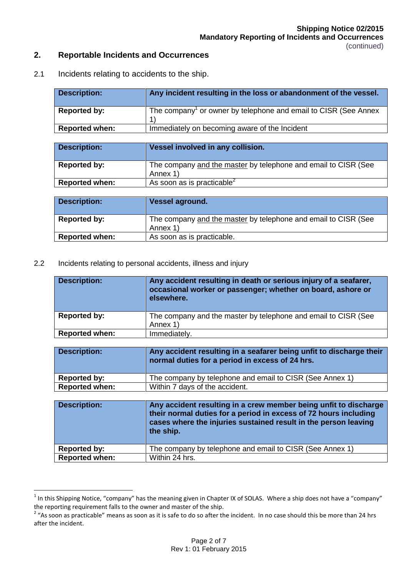### **2. Reportable Incidents and Occurrences**

2.1 Incidents relating to accidents to the ship.

| <b>Description:</b>   | Any incident resulting in the loss or abandonment of the vessel.            |
|-----------------------|-----------------------------------------------------------------------------|
| <b>Reported by:</b>   | The company <sup>1</sup> or owner by telephone and email to CISR (See Annex |
| <b>Reported when:</b> | Immediately on becoming aware of the Incident                               |
|                       |                                                                             |
| <b>Description:</b>   | Vessel involved in any collision.                                           |

| <b>Reported by:</b>   | The company and the master by telephone and email to CISR (See |
|-----------------------|----------------------------------------------------------------|
|                       | Annex 1)                                                       |
| <b>Reported when:</b> | As soon as is practicable <sup>2</sup>                         |

| <b>Description:</b>   | Vessel aground.                                                |
|-----------------------|----------------------------------------------------------------|
| Reported by:          | The company and the master by telephone and email to CISR (See |
|                       | Annex 1)                                                       |
| <b>Reported when:</b> | As soon as is practicable.                                     |

2.2 Incidents relating to personal accidents, illness and injury

 $\overline{a}$ 

| <b>Description:</b>   | Any accident resulting in death or serious injury of a seafarer,<br>occasional worker or passenger; whether on board, ashore or<br>elsewhere. |
|-----------------------|-----------------------------------------------------------------------------------------------------------------------------------------------|
| Reported by:          | The company and the master by telephone and email to CISR (See<br>Annex 1)                                                                    |
| <b>Reported when:</b> | Immediately.                                                                                                                                  |

| <b>Description:</b>   | Any accident resulting in a seafarer being unfit to discharge their<br>normal duties for a period in excess of 24 hrs. |
|-----------------------|------------------------------------------------------------------------------------------------------------------------|
| <b>Reported by:</b>   | The company by telephone and email to CISR (See Annex 1)                                                               |
| <b>Reported when:</b> | Within 7 days of the accident.                                                                                         |
|                       |                                                                                                                        |
| <b>Description:</b>   | Any accident resulting in a crew member being unfit to discharge                                                       |

| <b>Description:</b>   | Any accident resulting in a crew member being unfit to discharge<br>their normal duties for a period in excess of 72 hours including<br>cases where the injuries sustained result in the person leaving<br>the ship. |
|-----------------------|----------------------------------------------------------------------------------------------------------------------------------------------------------------------------------------------------------------------|
| Reported by:          | The company by telephone and email to CISR (See Annex 1)                                                                                                                                                             |
| <b>Reported when:</b> | Within 24 hrs.                                                                                                                                                                                                       |

<sup>&</sup>lt;sup>1</sup> In this Shipping Notice, "company" has the meaning given in Chapter IX of SOLAS. Where a ship does not have a "company" the reporting requirement falls to the owner and master of the ship.

 $2\degree$  "As soon as practicable" means as soon as it is safe to do so after the incident. In no case should this be more than 24 hrs after the incident.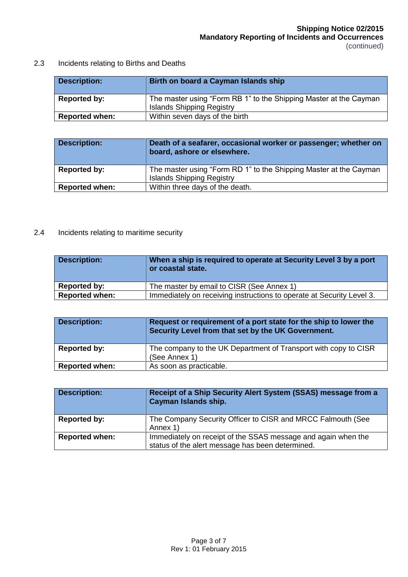2.3 Incidents relating to Births and Deaths

| <b>Description:</b>   | Birth on board a Cayman Islands ship                                                                  |
|-----------------------|-------------------------------------------------------------------------------------------------------|
| Reported by:          | The master using "Form RB 1" to the Shipping Master at the Cayman<br><b>Islands Shipping Registry</b> |
| <b>Reported when:</b> | Within seven days of the birth                                                                        |

| <b>Description:</b>   | Death of a seafarer, occasional worker or passenger; whether on<br>board, ashore or elsewhere.        |
|-----------------------|-------------------------------------------------------------------------------------------------------|
| <b>Reported by:</b>   | The master using "Form RD 1" to the Shipping Master at the Cayman<br><b>Islands Shipping Registry</b> |
| <b>Reported when:</b> | Within three days of the death.                                                                       |

# 2.4 Incidents relating to maritime security

| <b>Description:</b>   | When a ship is required to operate at Security Level 3 by a port<br>or coastal state. |
|-----------------------|---------------------------------------------------------------------------------------|
| <b>Reported by:</b>   | The master by email to CISR (See Annex 1)                                             |
| <b>Reported when:</b> | Immediately on receiving instructions to operate at Security Level 3.                 |

| <b>Description:</b>   | Request or requirement of a port state for the ship to lower the<br>Security Level from that set by the UK Government. |
|-----------------------|------------------------------------------------------------------------------------------------------------------------|
| <b>Reported by:</b>   | The company to the UK Department of Transport with copy to CISR<br>(See Annex 1)                                       |
| <b>Reported when:</b> | As soon as practicable.                                                                                                |

| <b>Description:</b>   | Receipt of a Ship Security Alert System (SSAS) message from a<br><b>Cayman Islands ship.</b> |
|-----------------------|----------------------------------------------------------------------------------------------|
| <b>Reported by:</b>   | The Company Security Officer to CISR and MRCC Falmouth (See                                  |
|                       | Annex 1)                                                                                     |
| <b>Reported when:</b> | Immediately on receipt of the SSAS message and again when the                                |
|                       | status of the alert message has been determined.                                             |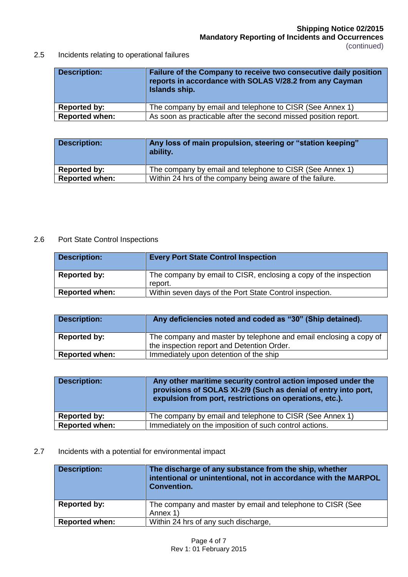**Mandatory Reporting of Incidents and Occurrences** (continued)

# 2.5 Incidents relating to operational failures

| <b>Description:</b>   | Failure of the Company to receive two consecutive daily position<br>reports in accordance with SOLAS V/28.2 from any Cayman<br>Islands ship. |
|-----------------------|----------------------------------------------------------------------------------------------------------------------------------------------|
| Reported by:          | The company by email and telephone to CISR (See Annex 1)                                                                                     |
| <b>Reported when:</b> | As soon as practicable after the second missed position report.                                                                              |

| <b>Description:</b>   | Any loss of main propulsion, steering or "station keeping"<br>ability. |
|-----------------------|------------------------------------------------------------------------|
| Reported by:          | The company by email and telephone to CISR (See Annex 1)               |
| <b>Reported when:</b> | Within 24 hrs of the company being aware of the failure.               |

#### 2.6 Port State Control Inspections

| <b>Description:</b>   | <b>Every Port State Control Inspection</b>                       |
|-----------------------|------------------------------------------------------------------|
| Reported by:          | The company by email to CISR, enclosing a copy of the inspection |
|                       | report.                                                          |
| <b>Reported when:</b> | Within seven days of the Port State Control inspection.          |

| <b>Description:</b>   | Any deficiencies noted and coded as "30" (Ship detained).                                                       |
|-----------------------|-----------------------------------------------------------------------------------------------------------------|
| <b>Reported by:</b>   | The company and master by telephone and email enclosing a copy of<br>the inspection report and Detention Order. |
| <b>Reported when:</b> | Immediately upon detention of the ship                                                                          |

| <b>Description:</b>   | Any other maritime security control action imposed under the<br>provisions of SOLAS XI-2/9 (Such as denial of entry into port,<br>expulsion from port, restrictions on operations, etc.). |
|-----------------------|-------------------------------------------------------------------------------------------------------------------------------------------------------------------------------------------|
| Reported by:          | The company by email and telephone to CISR (See Annex 1)                                                                                                                                  |
| <b>Reported when:</b> | Immediately on the imposition of such control actions.                                                                                                                                    |

# 2.7 Incidents with a potential for environmental impact

| <b>Description:</b>   | The discharge of any substance from the ship, whether<br>intentional or unintentional, not in accordance with the MARPOL<br><b>Convention.</b> |
|-----------------------|------------------------------------------------------------------------------------------------------------------------------------------------|
| <b>Reported by:</b>   | The company and master by email and telephone to CISR (See<br>Annex 1)                                                                         |
| <b>Reported when:</b> | Within 24 hrs of any such discharge,                                                                                                           |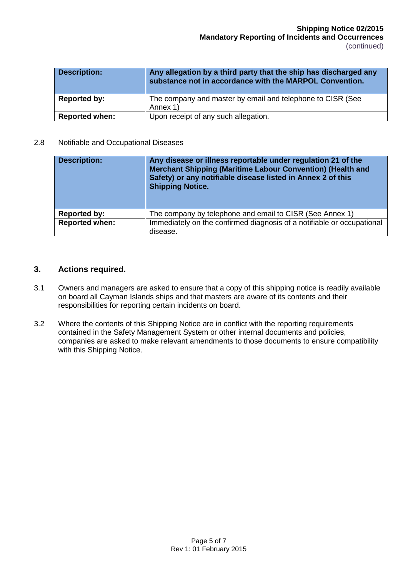| <b>Description:</b>   | Any allegation by a third party that the ship has discharged any<br>substance not in accordance with the MARPOL Convention. |
|-----------------------|-----------------------------------------------------------------------------------------------------------------------------|
| Reported by:          | The company and master by email and telephone to CISR (See                                                                  |
|                       | Annex 1)                                                                                                                    |
| <b>Reported when:</b> | Upon receipt of any such allegation.                                                                                        |

#### 2.8 Notifiable and Occupational Diseases

| <b>Description:</b>   | Any disease or illness reportable under regulation 21 of the<br>Merchant Shipping (Maritime Labour Convention) (Health and<br>Safety) or any notifiable disease listed in Annex 2 of this<br><b>Shipping Notice.</b> |
|-----------------------|----------------------------------------------------------------------------------------------------------------------------------------------------------------------------------------------------------------------|
| <b>Reported by:</b>   | The company by telephone and email to CISR (See Annex 1)                                                                                                                                                             |
| <b>Reported when:</b> | Immediately on the confirmed diagnosis of a notifiable or occupational                                                                                                                                               |
|                       | disease.                                                                                                                                                                                                             |

#### **3. Actions required.**

- 3.1 Owners and managers are asked to ensure that a copy of this shipping notice is readily available on board all Cayman Islands ships and that masters are aware of its contents and their responsibilities for reporting certain incidents on board.
- 3.2 Where the contents of this Shipping Notice are in conflict with the reporting requirements contained in the Safety Management System or other internal documents and policies, companies are asked to make relevant amendments to those documents to ensure compatibility with this Shipping Notice.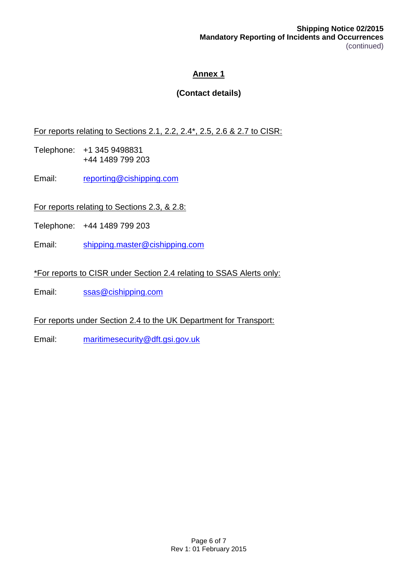**Shipping Notice 02/2015 Mandatory Reporting of Incidents and Occurrences** (continued)

# **Annex 1**

# **(Contact details)**

For reports relating to Sections 2.1, 2.2, 2.4\*, 2.5, 2.6 & 2.7 to CISR:

- Telephone: +1 345 9498831 +44 1489 799 203
- Email: [reporting@cishipping.com](mailto:reporting@cishipping.com)

For reports relating to Sections 2.3, & 2.8:

- Telephone: +44 1489 799 203
- Email: [shipping.master@cishipping.com](mailto:shipping.master@cishipping.com)

\*For reports to CISR under Section 2.4 relating to SSAS Alerts only:

Email: [ssas@cishipping.com](mailto:ssas@cishipping.com)

For reports under Section 2.4 to the UK Department for Transport:

Email: [maritimesecurity@dft.gsi.gov.uk](mailto:maritimesecurity@dft.gsi.gov.uk)